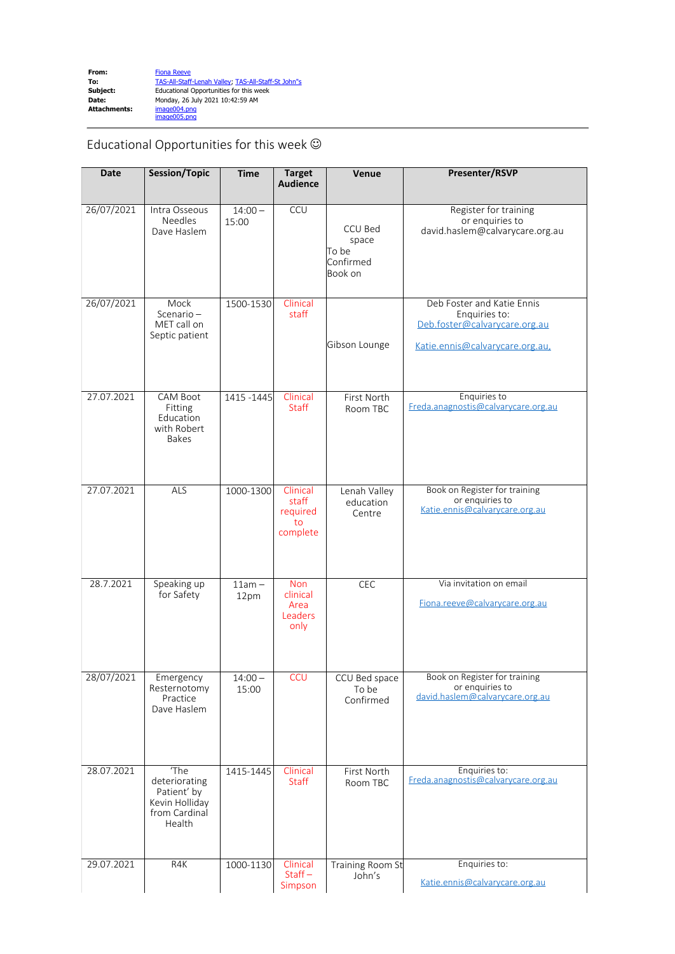Educational Opportunities for this week  $\odot$ 

| <b>Date</b> | <b>Session/Topic</b>                                                              | <b>Time</b>        | <b>Target</b><br><b>Audience</b>                  | Venue                                             | Presenter/RSVP                                                                                                  |
|-------------|-----------------------------------------------------------------------------------|--------------------|---------------------------------------------------|---------------------------------------------------|-----------------------------------------------------------------------------------------------------------------|
| 26/07/2021  | Intra Osseous<br><b>Needles</b><br>Dave Haslem                                    | $14:00 -$<br>15:00 | CCU                                               | CCU Bed<br>space<br>To be<br>Confirmed<br>Book on | Register for training<br>or enquiries to<br>david.haslem@calvarycare.org.au                                     |
| 26/07/2021  | Mock<br>Scenario $-$<br>MET call on<br>Septic patient                             | 1500-1530          | Clinical<br>staff                                 | Gibson Lounge                                     | Deb Foster and Katie Ennis<br>Enquiries to:<br>Deb.foster@calvarycare.org.au<br>Katie.ennis@calvarycare.org.au, |
| 27.07.2021  | <b>CAM Boot</b><br>Fitting<br>Education<br>with Robert<br><b>Bakes</b>            | 1415 - 1445        | Clinical<br><b>Staff</b>                          | First North<br>Room TBC                           | Enquiries to<br>Freda.anagnostis@calvarycare.org.au                                                             |
| 27.07.2021  | ALS                                                                               | 1000-1300          | Clinical<br>staff<br>required<br>to<br>complete   | Lenah Valley<br>education<br>Centre               | Book on Register for training<br>or enquiries to<br>Katie.ennis@calvarycare.org.au                              |
| 28.7.2021   | Speaking up<br>for Safety                                                         | $11am -$<br>12pm   | <b>Non</b><br>clinical<br>Area<br>Leaders<br>only | CEC                                               | Via invitation on email<br>Fiona.reeve@calvarycare.org.au                                                       |
| 28/07/2021  | Emergency<br>Resternotomy<br>Practice<br>Dave Haslem                              | $14:00 -$<br>15:00 | <b>CCU</b>                                        | CCU Bed space<br>To be<br>Confirmed               | Book on Register for training<br>or enquiries to<br>david.haslem@calvarycare.org.au                             |
| 28.07.2021  | 'The<br>deteriorating<br>Patient' by<br>Kevin Holliday<br>from Cardinal<br>Health | 1415-1445          | Clinical<br>Staff                                 | First North<br>Room TBC                           | Enquiries to:<br>Freda.anagnostis@calvarycare.org.au                                                            |
| 29.07.2021  | R4K                                                                               | 1000-1130          | Clinical<br>$Start -$<br>Simpson                  | Training Room St<br>John's                        | Enquiries to:<br>Katie.ennis@calvarycare.org.au                                                                 |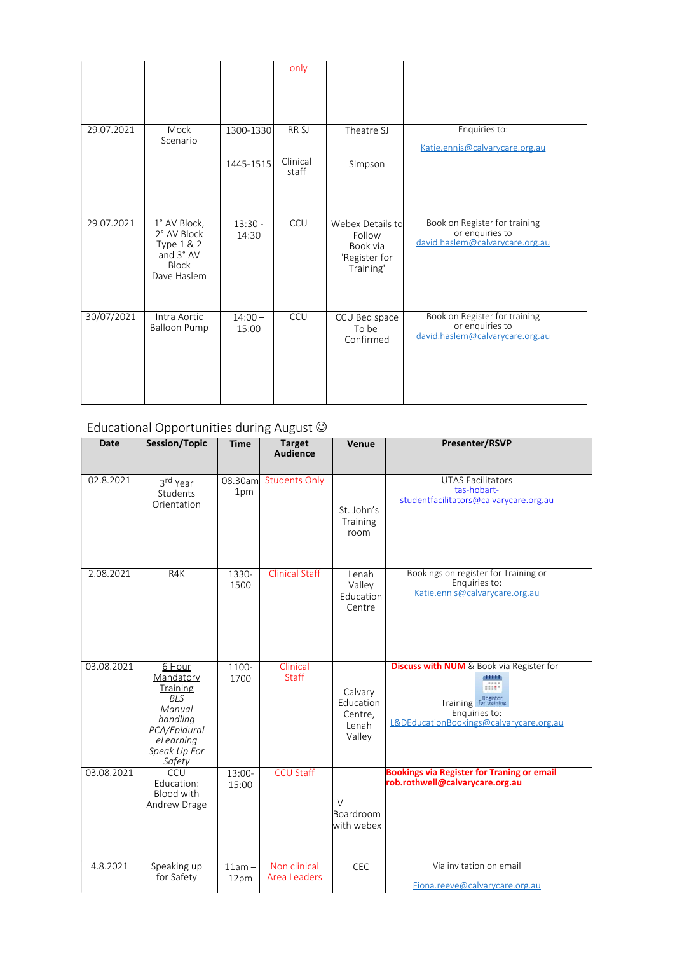|            |                                                                                       |                    | only              |                                                                      |                                                                                     |
|------------|---------------------------------------------------------------------------------------|--------------------|-------------------|----------------------------------------------------------------------|-------------------------------------------------------------------------------------|
|            |                                                                                       |                    |                   |                                                                      |                                                                                     |
| 29.07.2021 | Mock<br>Scenario                                                                      | 1300-1330          | RR <sub>SJ</sub>  | Theatre SJ                                                           | Enquiries to:<br>Katie.ennis@calvarycare.org.au                                     |
|            |                                                                                       | 1445-1515          | Clinical<br>staff | Simpson                                                              |                                                                                     |
| 29.07.2021 | 1° AV Block,<br>2° AV Block<br>Type 1 & 2<br>and 3° AV<br><b>Block</b><br>Dave Haslem | $13:30 -$<br>14:30 | CCU               | Webex Details to<br>Follow<br>Book via<br>'Register for<br>Training' | Book on Register for training<br>or enquiries to<br>david.haslem@calvarycare.org.au |
| 30/07/2021 | Intra Aortic<br><b>Balloon Pump</b>                                                   | $14:00 -$<br>15:00 | CCU               | CCU Bed space<br>To be<br>Confirmed                                  | Book on Register for training<br>or enquiries to<br>david.haslem@calvarycare.org.au |

## Educational Opportunities during August  $\odot$

| <b>Date</b> | <b>Session/Topic</b>                                                                                                       | <b>Time</b>      | <b>Target</b><br><b>Audience</b>    | Venue                                              | <b>Presenter/RSVP</b>                                                                                                                           |
|-------------|----------------------------------------------------------------------------------------------------------------------------|------------------|-------------------------------------|----------------------------------------------------|-------------------------------------------------------------------------------------------------------------------------------------------------|
| 02.8.2021   | 3rd Year<br>Students<br>Orientation                                                                                        | $-1pm$           | 08.30am Students Only               | St. John's<br>Training<br>room                     | <b>UTAS Facilitators</b><br>tas-hobart-<br>studentfacilitators@calvarycare.org.au                                                               |
| 2.08.2021   | R4K                                                                                                                        | 1330-<br>1500    | <b>Clinical Staff</b>               | Lenah<br>Valley<br>Education<br>Centre             | Bookings on register for Training or<br>Enquiries to:<br>Katie.ennis@calvarycare.org.au                                                         |
| 03.08.2021  | 6 Hour<br>Mandatory<br>Training<br><b>BLS</b><br>Manual<br>handling<br>PCA/Epidural<br>eLearning<br>Speak Up For<br>Safety | 1100-<br>1700    | Clinical<br><b>Staff</b>            | Calvary<br>Education<br>Centre,<br>Lenah<br>Valley | <b>Discuss with NUM</b> & Book via Register for<br>distrib<br>Training for training<br>Enquiries to:<br>L&DEducationBookings@calvarycare.org.au |
| 03.08.2021  | CCU<br>Education:<br>Blood with<br>Andrew Drage                                                                            | 13:00-<br>15:00  | <b>CCU Staff</b>                    | LV<br>Boardroom<br>with webex                      | <b>Bookings via Register for Traning or email</b><br>rob.rothwell@calvarycare.org.au                                                            |
| 4.8.2021    | Speaking up<br>for Safety                                                                                                  | $11am -$<br>12pm | Non clinical<br><b>Area Leaders</b> | CEC                                                | Via invitation on email<br>Fiona.reeve@calvarycare.org.au                                                                                       |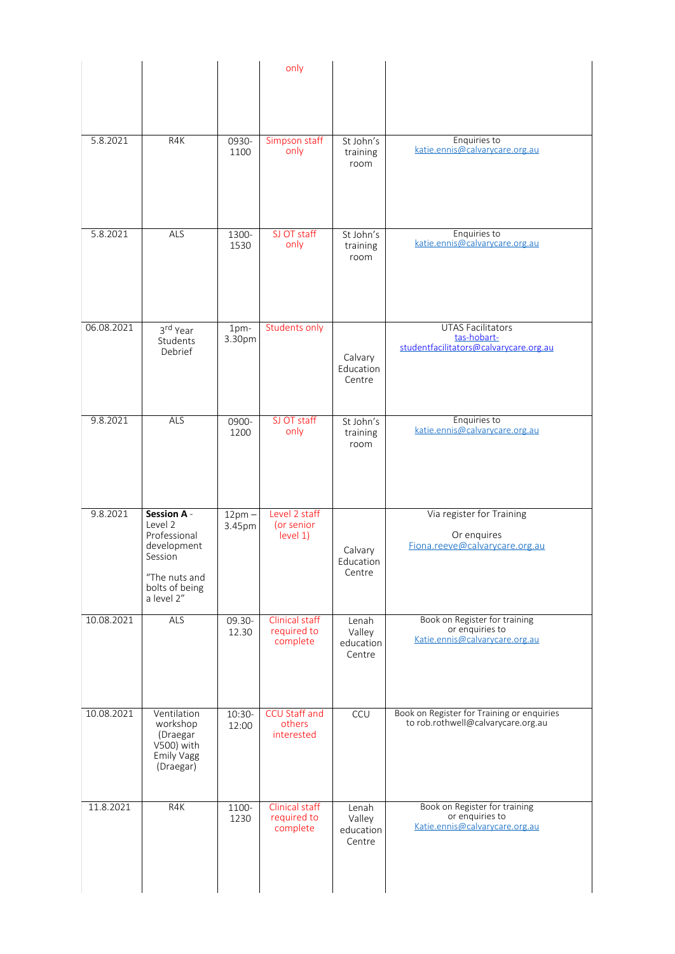|            |                                                                                         |                 | only                                             |                                        |                                                                                    |
|------------|-----------------------------------------------------------------------------------------|-----------------|--------------------------------------------------|----------------------------------------|------------------------------------------------------------------------------------|
|            |                                                                                         |                 |                                                  |                                        |                                                                                    |
|            |                                                                                         |                 |                                                  |                                        |                                                                                    |
|            |                                                                                         |                 |                                                  |                                        |                                                                                    |
| 5.8.2021   | R4K                                                                                     | 0930-<br>1100   | Simpson staff<br>only                            | St John's<br>training<br>room          | Enquiries to<br>katie.ennis@calvarycare.org.au                                     |
| 5.8.2021   | ALS                                                                                     | 1300-           | SJ OT staff                                      | St John's                              | Enquiries to                                                                       |
|            |                                                                                         | 1530            | only                                             | training<br>room                       | katie.ennis@calvarycare.org.au                                                     |
| 06.08.2021 | 3rd Year                                                                                | 1pm-            | <b>Students only</b>                             |                                        | <b>UTAS Facilitators</b><br>tas-hobart-                                            |
|            | Students<br>Debrief                                                                     | 3.30pm          |                                                  | Calvary<br>Education<br>Centre         | studentfacilitators@calvarycare.org.au                                             |
| 9.8.2021   | ALS                                                                                     | 0900-           | SJ OT staff                                      | St John's                              | Enquiries to                                                                       |
|            |                                                                                         | 1200            | only                                             | training<br>room                       | katie.ennis@calvarycare.org.au                                                     |
| 9.8.2021   | Session A -<br>Level 2                                                                  | $12pm -$        | Level 2 staff<br>(or senior                      |                                        | Via register for Training                                                          |
|            | Professional<br>development<br>Session<br>"The nuts and<br>bolts of being<br>a level 2" | 3.45pm          | level 1)                                         | Calvary<br>Education<br>Centre         | Or enquires<br>Fiona.reeve@calvarycare.org.au                                      |
| 10.08.2021 | ALS                                                                                     | 09.30-          | Clinical staff                                   | Lenah                                  | Book on Register for training<br>or enquiries to                                   |
|            |                                                                                         | 12.30           | required to<br>complete                          | Valley<br>education<br>Centre          | Katie.ennis@calvarycare.org.au                                                     |
| 10.08.2021 | Ventilation<br>workshop<br>(Draegar<br>V500) with<br>Emily Vagg<br>(Draegar)            | 10:30-<br>12:00 | <b>CCU Staff and</b><br>others<br>interested     | CCU                                    | Book on Register for Training or enquiries<br>to rob.rothwell@calvarycare.org.au   |
| 11.8.2021  | R4K                                                                                     | 1100-<br>1230   | <b>Clinical staff</b><br>required to<br>complete | Lenah<br>Valley<br>education<br>Centre | Book on Register for training<br>or enquiries to<br>Katie.ennis@calvarycare.org.au |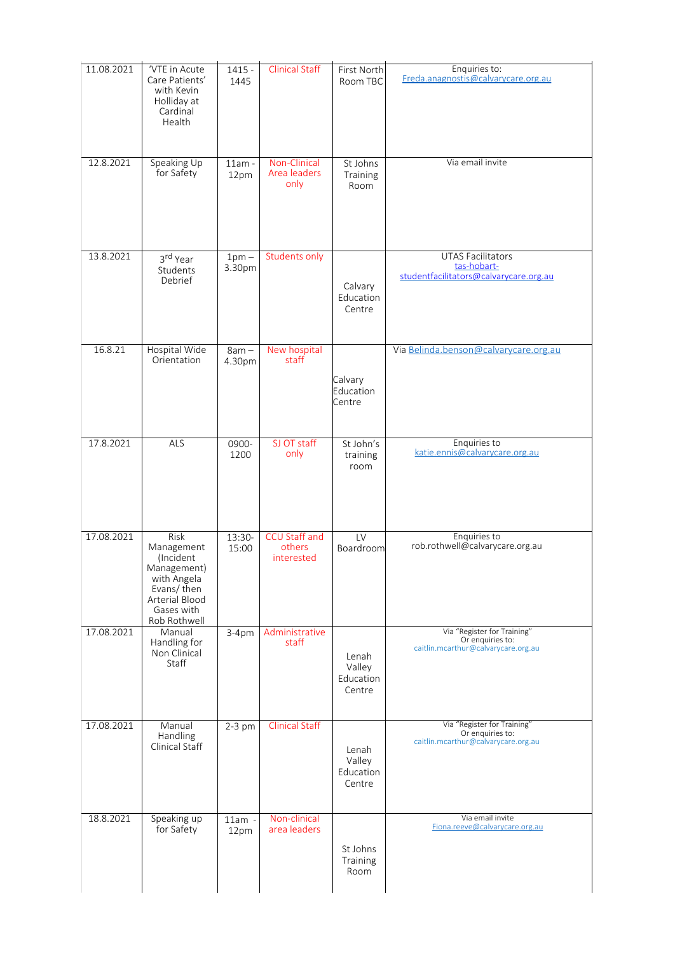| 11.08.2021 | 'VTE in Acute<br>Care Patients'<br>with Kevin<br>Holliday at<br>Cardinal<br>Health                                          | $1415 -$<br>1445  | <b>Clinical Staff</b>                        | First North<br>Room TBC                | Enquiries to:<br>Freda.anagnostis@calvarycare.org.au                                   |
|------------|-----------------------------------------------------------------------------------------------------------------------------|-------------------|----------------------------------------------|----------------------------------------|----------------------------------------------------------------------------------------|
| 12.8.2021  | Speaking Up<br>for Safety                                                                                                   | $11am -$<br>12pm  | Non-Clinical<br>Area leaders<br>only         | St Johns<br>Training<br>Room           | Via email invite                                                                       |
| 13.8.2021  | 3rd Year<br>Students<br>Debrief                                                                                             | $1pm -$<br>3.30pm | <b>Students only</b>                         | Calvary<br>Education<br>Centre         | <b>UTAS Facilitators</b><br>tas-hobart-<br>studentfacilitators@calvarycare.org.au      |
| 16.8.21    | Hospital Wide<br>Orientation                                                                                                | $8am -$<br>4.30pm | New hospital<br>staff                        | Calvary<br>Education<br>Centre         | Via Belinda.benson@calvarycare.org.au                                                  |
| 17.8.2021  | <b>ALS</b>                                                                                                                  | 0900-<br>1200     | SJ OT staff<br>only                          | St John's<br>training<br>room          | Enquiries to<br>katie.ennis@calvarycare.org.au                                         |
| 17.08.2021 | Risk<br>Management<br>(Incident<br>Management)<br>with Angela<br>Evans/then<br>Arterial Blood<br>Gases with<br>Rob Rothwell | 13:30-<br>15:00   | <b>CCU Staff and</b><br>others<br>interested | LV<br>Boardroom                        | Enquiries to<br>rob.rothwell@calvarycare.org.au                                        |
| 17.08.2021 | Manual<br>Handling for<br>Non Clinical<br>Staff                                                                             | $3-4pm$           | Administrative<br>staff                      | Lenah<br>Valley<br>Education<br>Centre | Via "Register for Training"<br>Or enquiries to:<br>caitlin.mcarthur@calvarycare.org.au |
| 17.08.2021 | Manual<br>Handling<br>Clinical Staff                                                                                        | $2-3$ pm          | <b>Clinical Staff</b>                        | Lenah<br>Valley<br>Education<br>Centre | Via "Register for Training"<br>Or enquiries to:<br>caitlin.mcarthur@calvarycare.org.au |
| 18.8.2021  | Speaking up<br>for Safety                                                                                                   | $11am -$<br>12pm  | Non-clinical<br>area leaders                 | St Johns<br>Training<br>Room           | Via email invite<br>Fiona.reeve@calvarycare.org.au                                     |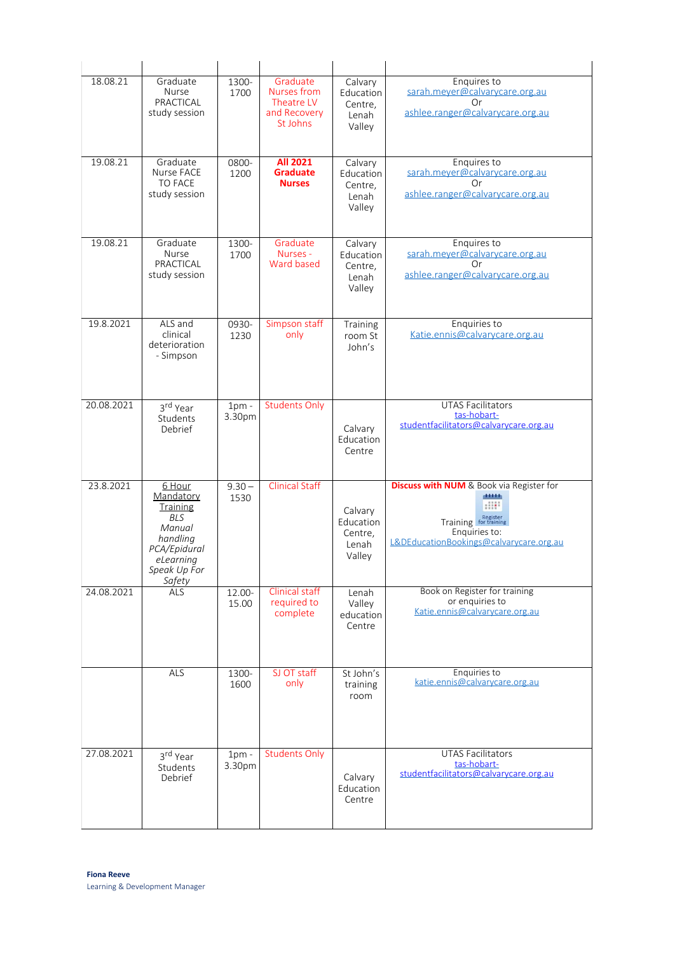| 18.08.21   | Graduate<br><b>Nurse</b><br>PRACTICAL<br>study session                                                                            | 1300-<br>1700     | Graduate<br>Nurses from<br>Theatre LV<br>and Recovery<br>St Johns | Calvary<br>Education<br>Centre,<br>Lenah<br>Valley | Enquires to<br>sarah.meyer@calvarycare.org.au<br>Or<br>ashlee.ranger@calvarycare.org.au                                                                  |
|------------|-----------------------------------------------------------------------------------------------------------------------------------|-------------------|-------------------------------------------------------------------|----------------------------------------------------|----------------------------------------------------------------------------------------------------------------------------------------------------------|
| 19.08.21   | Graduate<br>Nurse FACE<br><b>TO FACE</b><br>study session                                                                         | 0800-<br>1200     | <b>All 2021</b><br><b>Graduate</b><br><b>Nurses</b>               | Calvary<br>Education<br>Centre,<br>Lenah<br>Valley | Enquires to<br>sarah.meyer@calvarycare.org.au<br>Or<br>ashlee.ranger@calvarycare.org.au                                                                  |
| 19.08.21   | Graduate<br>Nurse<br>PRACTICAL<br>study session                                                                                   | 1300-<br>1700     | Graduate<br>Nurses -<br>Ward based                                | Calvary<br>Education<br>Centre,<br>Lenah<br>Valley | Enquires to<br>sarah.meyer@calvarycare.org.au<br>Or<br>ashlee.ranger@calvarycare.org.au                                                                  |
| 19.8.2021  | ALS and<br>clinical<br>deterioration<br>- Simpson                                                                                 | 0930-<br>1230     | Simpson staff<br>only                                             | Training<br>room St<br>John's                      | Enquiries to<br>Katie.ennis@calvarycare.org.au                                                                                                           |
| 20.08.2021 | 3rd Year<br>Students<br>Debrief                                                                                                   | $1pm$ -<br>3.30pm | <b>Students Only</b>                                              | Calvary<br>Education<br>Centre                     | <b>UTAS Facilitators</b><br>tas-hobart-<br>studentfacilitators@calvarycare.org.au                                                                        |
| 23.8.2021  | 6 Hour<br>Mandatory<br><b>Training</b><br><b>BLS</b><br>Manual<br>handling<br>PCA/Epidural<br>eLearning<br>Speak Up For<br>Safety | $9.30 -$<br>1530  | <b>Clinical Staff</b>                                             | Calvary<br>Education<br>Centre,<br>Lenah<br>Valley | <b>Discuss with NUM</b> & Book via Register for<br>district<br>$-11111$<br>Training Register<br>Enquiries to:<br>L&DEducationBookings@calvarycare.org.au |
| 24.08.2021 | <b>ALS</b>                                                                                                                        | 12.00-<br>15.00   | <b>Clinical staff</b><br>required to<br>complete                  | Lenah<br>Valley<br>education<br>Centre             | Book on Register for training<br>or enquiries to<br>Katie.ennis@calvarycare.org.au                                                                       |
|            | ALS                                                                                                                               | 1300-<br>1600     | SJ OT staff<br>only                                               | St John's<br>training<br>room                      | Enquiries to<br>katie.ennis@calvarycare.org.au                                                                                                           |
| 27.08.2021 | 3rd Year<br>Students<br>Debrief                                                                                                   | $1pm$ -<br>3.30pm | <b>Students Only</b>                                              | Calvary<br>Education<br>Centre                     | <b>UTAS Facilitators</b><br>tas-hobart-<br>studentfacilitators@calvarycare.org.au                                                                        |